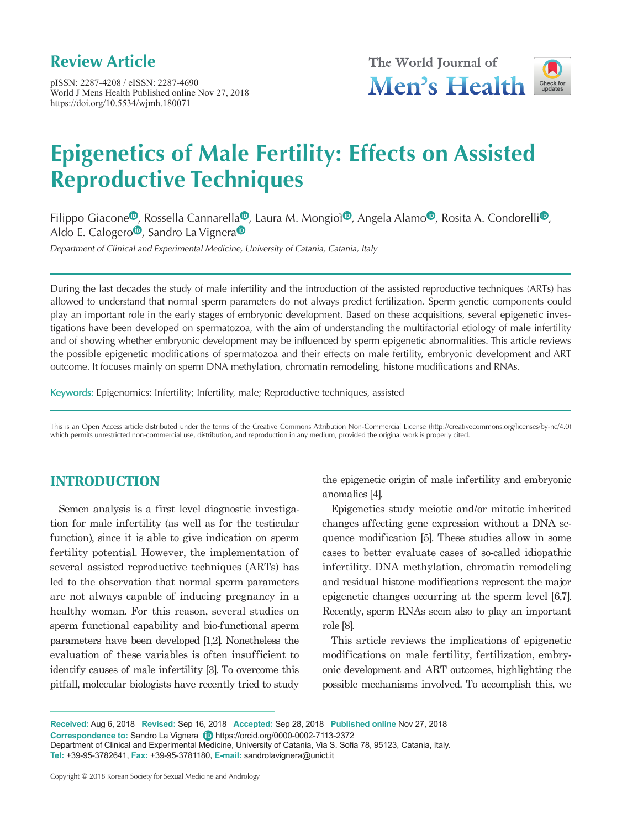# **Review Article**

pISSN: 2287-4208 / eISSN: 2287-4690 World J Mens Health Published online Nov 27, 2018 https://doi.org/10.5534/wjmh.180071





# **Epigenetics of Male Fertility: Effects on Assisted Reproductive Techniques**

Filippo Giacone<sup>®</sup>[,](https://orcid.org/0000-0003-4391-880X) Rossell[a](https://orcid.org/0000-0003-4599-8487) Cannarella<sup>®</sup>, Laura M. Mongio[ì](https://orcid.org/0000-0003-2341-0996)<sup>®</sup>, Angela Alamo<sup>®</sup>, Ros[i](https://orcid.org/0000-0002-5217-9343)ta A. Condorelli<sup>®</sup>, Ald[o](https://orcid.org/0000-0001-6950-335X) E. C[a](https://orcid.org/0000-0002-7113-2372)logero<sup> $\Phi$ </sup>, Sandro La Vignera $\Phi$ 

Department of Clinical and Experimental Medicine, University of Catania, Catania, Italy

During the last decades the study of male infertility and the introduction of the assisted reproductive techniques (ARTs) has allowed to understand that normal sperm parameters do not always predict fertilization. Sperm genetic components could play an important role in the early stages of embryonic development. Based on these acquisitions, several epigenetic investigations have been developed on spermatozoa, with the aim of understanding the multifactorial etiology of male infertility and of showing whether embryonic development may be influenced by sperm epigenetic abnormalities. This article reviews the possible epigenetic modifications of spermatozoa and their effects on male fertility, embryonic development and ART outcome. It focuses mainly on sperm DNA methylation, chromatin remodeling, histone modifications and RNAs.

Keywords: Epigenomics; Infertility; Infertility, male; Reproductive techniques, assisted

This is an Open Access article distributed under the terms of the Creative Commons Attribution Non-Commercial License (http://creativecommons.org/licenses/by-nc/4.0) which permits unrestricted non-commercial use, distribution, and reproduction in any medium, provided the original work is properly cited.

#### **INTRODUCTION**

Semen analysis is a first level diagnostic investigation for male infertility (as well as for the testicular function), since it is able to give indication on sperm fertility potential. However, the implementation of several assisted reproductive techniques (ARTs) has led to the observation that normal sperm parameters are not always capable of inducing pregnancy in a healthy woman. For this reason, several studies on sperm functional capability and bio-functional sperm parameters have been developed [1,2]. Nonetheless the evaluation of these variables is often insufficient to identify causes of male infertility [3]. To overcome this pitfall, molecular biologists have recently tried to study

the epigenetic origin of male infertility and embryonic anomalies [4].

Epigenetics study meiotic and/or mitotic inherited changes affecting gene expression without a DNA sequence modification [5]. These studies allow in some cases to better evaluate cases of so-called idiopathic infertility. DNA methylation, chromatin remodeling and residual histone modifications represent the major epigenetic changes occurring at the sperm level [6,7]. Recently, sperm RNAs seem also to play an important role [8].

This article reviews the implications of epigenetic modifications on male fertility, fertilization, embryonic development and ART outcomes, highlighting the possible mechanisms involved. To accomplish this, we

**Received:** Aug 6, 2018 **Revised:** Sep 16, 2018 **Accepted:** Sep 28, 2018 **Published online** Nov 27, 2018 **Correspondenceto:** Sandro La Vignera **(D)** https://orcid.org/0000-0002-7113-2372 Department of Clinical and Experimental Medicine, University of Catania, Via S. Sofia 78, 95123, Catania, Italy. **Tel:** +39-95-3782641, **Fax:** +39-95-3781180, **E-mail:** sandrolavignera@unict.it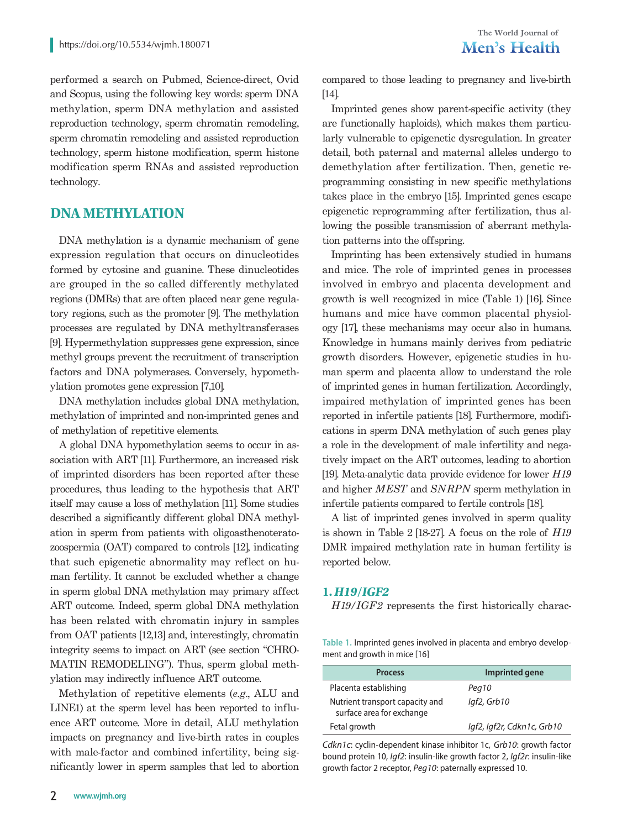performed a search on Pubmed, Science-direct, Ovid and Scopus, using the following key words: sperm DNA methylation, sperm DNA methylation and assisted reproduction technology, sperm chromatin remodeling, sperm chromatin remodeling and assisted reproduction technology, sperm histone modification, sperm histone modification sperm RNAs and assisted reproduction technology.

#### **DNA METHYLATION**

DNA methylation is a dynamic mechanism of gene expression regulation that occurs on dinucleotides formed by cytosine and guanine. These dinucleotides are grouped in the so called differently methylated regions (DMRs) that are often placed near gene regulatory regions, such as the promoter [9]. The methylation processes are regulated by DNA methyltransferases [9]. Hypermethylation suppresses gene expression, since methyl groups prevent the recruitment of transcription factors and DNA polymerases. Conversely, hypomethylation promotes gene expression [7,10].

DNA methylation includes global DNA methylation, methylation of imprinted and non-imprinted genes and of methylation of repetitive elements.

A global DNA hypomethylation seems to occur in association with ART [11]. Furthermore, an increased risk of imprinted disorders has been reported after these procedures, thus leading to the hypothesis that ART itself may cause a loss of methylation [11]. Some studies described a significantly different global DNA methylation in sperm from patients with oligoasthenoteratozoospermia (OAT) compared to controls [12], indicating that such epigenetic abnormality may reflect on human fertility. It cannot be excluded whether a change in sperm global DNA methylation may primary affect ART outcome. Indeed, sperm global DNA methylation has been related with chromatin injury in samples from OAT patients [12,13] and, interestingly, chromatin integrity seems to impact on ART (see section "CHRO-MATIN REMODELING"). Thus, sperm global methylation may indirectly influence ART outcome.

Methylation of repetitive elements (*e.g*., ALU and LINE1) at the sperm level has been reported to influence ART outcome. More in detail, ALU methylation impacts on pregnancy and live-birth rates in couples with male-factor and combined infertility, being significantly lower in sperm samples that led to abortion

compared to those leading to pregnancy and live-birth [14].

Imprinted genes show parent-specific activity (they are functionally haploids), which makes them particularly vulnerable to epigenetic dysregulation. In greater detail, both paternal and maternal alleles undergo to demethylation after fertilization. Then, genetic reprogramming consisting in new specific methylations takes place in the embryo [15]. Imprinted genes escape epigenetic reprogramming after fertilization, thus allowing the possible transmission of aberrant methylation patterns into the offspring.

Imprinting has been extensively studied in humans and mice. The role of imprinted genes in processes involved in embryo and placenta development and growth is well recognized in mice (Table 1) [16]. Since humans and mice have common placental physiology [17], these mechanisms may occur also in humans. Knowledge in humans mainly derives from pediatric growth disorders. However, epigenetic studies in human sperm and placenta allow to understand the role of imprinted genes in human fertilization. Accordingly, impaired methylation of imprinted genes has been reported in infertile patients [18]. Furthermore, modifications in sperm DNA methylation of such genes play a role in the development of male infertility and negatively impact on the ART outcomes, leading to abortion [19]. Meta-analytic data provide evidence for lower *H19* and higher *MEST* and *SNRPN* sperm methylation in infertile patients compared to fertile controls [18].

A list of imprinted genes involved in sperm quality is shown in Table 2 [18-27]. A focus on the role of *H19* DMR impaired methylation rate in human fertility is reported below.

#### **1. H19/IGF2**

*H19/IGF2* represents the first historically charac-

**Table 1.** Imprinted genes involved in placenta and embryo development and growth in mice [16]

| Imprinted gene             |
|----------------------------|
| Peg10                      |
| $Iqf2$ , Grb $10$          |
| Igf2, Igf2r, Cdkn1c, Grb10 |
|                            |

*Cdkn1c*: cyclin-dependent kinase inhibitor 1c, *Grb10*: growth factor bound protein 10, *Igf2*: insulin-like growth factor 2, *Igf2r*: insulin-like growth factor 2 receptor, *Peg10*: paternally expressed 10.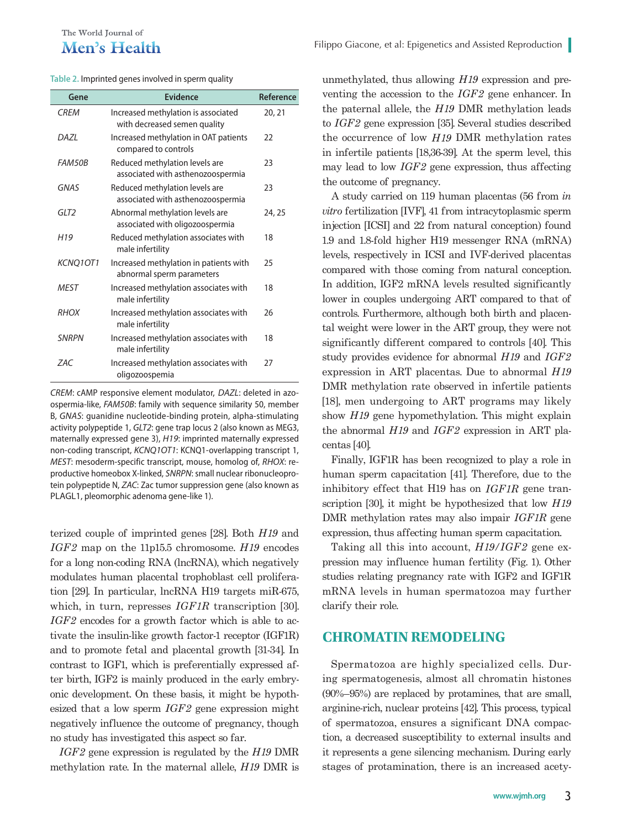#### The World Journal of Men's Health

| Table 2. Imprinted genes involved in sperm quality |  |  |
|----------------------------------------------------|--|--|
|----------------------------------------------------|--|--|

| Gene            | Evidence                                                            | Reference |
|-----------------|---------------------------------------------------------------------|-----------|
| <b>CRFM</b>     | Increased methylation is associated<br>with decreased semen quality | 20, 21    |
| <b>DAZI</b>     | Increased methylation in OAT patients<br>compared to controls       | 22        |
| <b>FAM50B</b>   | Reduced methylation levels are<br>associated with asthenozoospermia | 23        |
| <b>GNAS</b>     | Reduced methylation levels are<br>associated with asthenozoospermia | 23        |
| GIT2            | Abnormal methylation levels are<br>associated with oligozoospermia  | 24, 25    |
| H <sub>19</sub> | Reduced methylation associates with<br>male infertility             | 18        |
| KCNQ1OT1        | Increased methylation in patients with<br>abnormal sperm parameters | 25        |
| <b>MEST</b>     | Increased methylation associates with<br>male infertility           | 18        |
| <b>RHOX</b>     | Increased methylation associates with<br>male infertility           | 26        |
| <b>SNRPN</b>    | Increased methylation associates with<br>male infertility           | 18        |
| 7AC             | Increased methylation associates with<br>oligozoospemia             | 27        |
|                 |                                                                     |           |

*CREM*: cAMP responsive element modulator, *DAZL*: deleted in azoospermia-like, *FAM50B*: family with sequence similarity 50, member B, *GNAS*: guanidine nucleotide-binding protein, alpha-stimulating activity polypeptide 1, *GLT2*: gene trap locus 2 (also known as MEG3, maternally expressed gene 3), *H19*: imprinted maternally expressed non-coding transcript, *KCNQ1OT1*: KCNQ1-overlapping transcript 1, *MEST*: mesoderm-specific transcript, mouse, homolog of, *RHOX*: reproductive homeobox X-linked, *SNRPN*: small nuclear ribonucleoprotein polypeptide N, *ZAC*: Zac tumor suppression gene (also known as PLAGL1, pleomorphic adenoma gene-like 1).

terized couple of imprinted genes [28]. Both *H19* and *IGF2* map on the 11p15.5 chromosome. *H19* encodes for a long non-coding RNA (lncRNA), which negatively modulates human placental trophoblast cell proliferation [29]. In particular, lncRNA H19 targets miR-675, which, in turn, represses *IGF1R* transcription [30]. *IGF2* encodes for a growth factor which is able to activate the insulin-like growth factor-1 receptor (IGF1R) and to promote fetal and placental growth [31-34]. In contrast to IGF1, which is preferentially expressed after birth, IGF2 is mainly produced in the early embryonic development. On these basis, it might be hypothesized that a low sperm *IGF2* gene expression might negatively influence the outcome of pregnancy, though no study has investigated this aspect so far.

*IGF2* gene expression is regulated by the *H19* DMR methylation rate. In the maternal allele, *H19* DMR is unmethylated, thus allowing *H19* expression and preventing the accession to the *IGF2* gene enhancer. In the paternal allele, the *H19* DMR methylation leads to *IGF2* gene expression [35]. Several studies described the occurrence of low *H19* DMR methylation rates in infertile patients [18,36-39]. At the sperm level, this may lead to low *IGF2* gene expression, thus affecting the outcome of pregnancy.

A study carried on 119 human placentas (56 from *in vitro* fertilization [IVF], 41 from intracytoplasmic sperm injection [ICSI] and 22 from natural conception) found 1.9 and 1.8-fold higher H19 messenger RNA (mRNA) levels, respectively in ICSI and IVF-derived placentas compared with those coming from natural conception. In addition, IGF2 mRNA levels resulted significantly lower in couples undergoing ART compared to that of controls. Furthermore, although both birth and placental weight were lower in the ART group, they were not significantly different compared to controls [40]. This study provides evidence for abnormal *H19* and *IGF2*  expression in ART placentas. Due to abnormal *H19* DMR methylation rate observed in infertile patients [18], men undergoing to ART programs may likely show *H19* gene hypomethylation. This might explain the abnormal *H19* and *IGF2* expression in ART placentas [40].

Finally, IGF1R has been recognized to play a role in human sperm capacitation [41]. Therefore, due to the inhibitory effect that H19 has on *IGF1R* gene transcription [30], it might be hypothesized that low *H19* DMR methylation rates may also impair *IGF1R* gene expression, thus affecting human sperm capacitation.

Taking all this into account, *H19/IGF2* gene expression may influence human fertility (Fig. 1). Other studies relating pregnancy rate with IGF2 and IGF1R mRNA levels in human spermatozoa may further clarify their role.

#### **CHROMATIN REMODELING**

Spermatozoa are highly specialized cells. During spermatogenesis, almost all chromatin histones (90%–95%) are replaced by protamines, that are small, arginine-rich, nuclear proteins [42]. This process, typical of spermatozoa, ensures a significant DNA compaction, a decreased susceptibility to external insults and it represents a gene silencing mechanism. During early stages of protamination, there is an increased acety-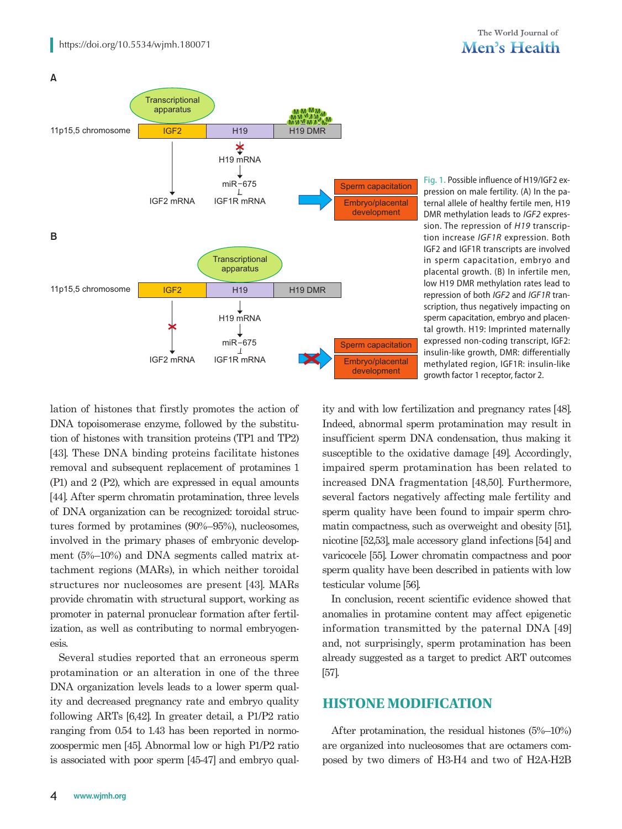

**Fig. 1.** Possible influence of H19/IGF2 expression on male fertility. (A) In the paternal allele of healthy fertile men, H19 DMR methylation leads to *IGF2* expression. The repression of *H19* transcription increase *IGF1R* expression. Both IGF2 and IGF1R transcripts are involved in sperm capacitation, embryo and placental growth. (B) In infertile men, low H19 DMR methylation rates lead to repression of both *IGF2* and *IGF1R* transcription, thus negatively impacting on sperm capacitation, embryo and placental growth. H19: Imprinted maternally expressed non-coding transcript, IGF2: insulin-like growth, DMR: differentially methylated region, IGF1R: insulin-like growth factor 1 receptor, factor 2.

lation of histones that firstly promotes the action of DNA topoisomerase enzyme, followed by the substitution of histones with transition proteins (TP1 and TP2) [43]. These DNA binding proteins facilitate histones removal and subsequent replacement of protamines 1 (P1) and 2 (P2), which are expressed in equal amounts [44]. After sperm chromatin protamination, three levels of DNA organization can be recognized: toroidal structures formed by protamines (90%–95%), nucleosomes, involved in the primary phases of embryonic development (5%–10%) and DNA segments called matrix attachment regions (MARs), in which neither toroidal structures nor nucleosomes are present [43]. MARs provide chromatin with structural support, working as promoter in paternal pronuclear formation after fertilization, as well as contributing to normal embryogenesis.

Several studies reported that an erroneous sperm protamination or an alteration in one of the three DNA organization levels leads to a lower sperm quality and decreased pregnancy rate and embryo quality following ARTs [6,42]. In greater detail, a P1/P2 ratio ranging from 0.54 to 1.43 has been reported in normozoospermic men [45]. Abnormal low or high P1/P2 ratio is associated with poor sperm [45-47] and embryo quality and with low fertilization and pregnancy rates [48]. Indeed, abnormal sperm protamination may result in insufficient sperm DNA condensation, thus making it susceptible to the oxidative damage [49]. Accordingly, impaired sperm protamination has been related to increased DNA fragmentation [48,50]. Furthermore, several factors negatively affecting male fertility and sperm quality have been found to impair sperm chromatin compactness, such as overweight and obesity [51], nicotine [52,53], male accessory gland infections [54] and varicocele [55]. Lower chromatin compactness and poor sperm quality have been described in patients with low testicular volume [56].

In conclusion, recent scientific evidence showed that anomalies in protamine content may affect epigenetic information transmitted by the paternal DNA [49] and, not surprisingly, sperm protamination has been already suggested as a target to predict ART outcomes [57].

## **HISTONE MODIFICATION**

After protamination, the residual histones (5%–10%) are organized into nucleosomes that are octamers composed by two dimers of H3-H4 and two of H2A-H2B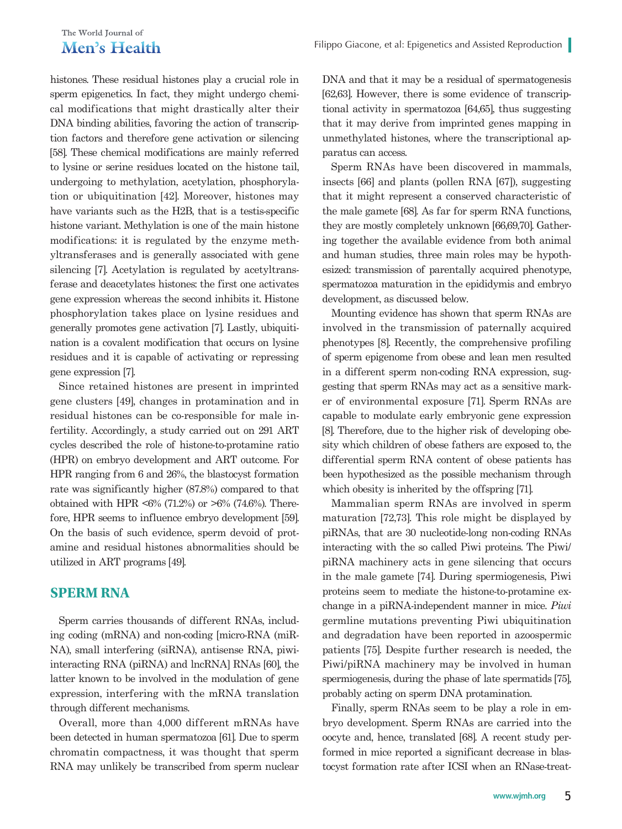#### The World Iournal of Men's Health

histones. These residual histones play a crucial role in sperm epigenetics. In fact, they might undergo chemical modifications that might drastically alter their DNA binding abilities, favoring the action of transcription factors and therefore gene activation or silencing [58]. These chemical modifications are mainly referred to lysine or serine residues located on the histone tail, undergoing to methylation, acetylation, phosphorylation or ubiquitination [42]. Moreover, histones may have variants such as the H2B, that is a testis-specific histone variant. Methylation is one of the main histone modifications: it is regulated by the enzyme methyltransferases and is generally associated with gene silencing [7]. Acetylation is regulated by acetyltransferase and deacetylates histones: the first one activates gene expression whereas the second inhibits it. Histone phosphorylation takes place on lysine residues and generally promotes gene activation [7]. Lastly, ubiquitination is a covalent modification that occurs on lysine residues and it is capable of activating or repressing gene expression [7].

Since retained histones are present in imprinted gene clusters [49], changes in protamination and in residual histones can be co-responsible for male infertility. Accordingly, a study carried out on 291 ART cycles described the role of histone-to-protamine ratio (HPR) on embryo development and ART outcome. For HPR ranging from 6 and 26%, the blastocyst formation rate was significantly higher (87.8%) compared to that obtained with HPR <6% (71.2%) or  $>6\%$  (74.6%). Therefore, HPR seems to influence embryo development [59]. On the basis of such evidence, sperm devoid of protamine and residual histones abnormalities should be utilized in ART programs [49].

#### **SPERM RNA**

Sperm carries thousands of different RNAs, including coding (mRNA) and non-coding [micro-RNA (miR-NA), small interfering (siRNA), antisense RNA, piwiinteracting RNA (piRNA) and lncRNA] RNAs [60], the latter known to be involved in the modulation of gene expression, interfering with the mRNA translation through different mechanisms.

Overall, more than 4,000 different mRNAs have been detected in human spermatozoa [61]. Due to sperm chromatin compactness, it was thought that sperm RNA may unlikely be transcribed from sperm nuclear

DNA and that it may be a residual of spermatogenesis [62,63]. However, there is some evidence of transcriptional activity in spermatozoa [64,65], thus suggesting that it may derive from imprinted genes mapping in unmethylated histones, where the transcriptional apparatus can access.

Sperm RNAs have been discovered in mammals, insects [66] and plants (pollen RNA [67]), suggesting that it might represent a conserved characteristic of the male gamete [68]. As far for sperm RNA functions, they are mostly completely unknown [66,69,70]. Gathering together the available evidence from both animal and human studies, three main roles may be hypothesized: transmission of parentally acquired phenotype, spermatozoa maturation in the epididymis and embryo development, as discussed below.

Mounting evidence has shown that sperm RNAs are involved in the transmission of paternally acquired phenotypes [8]. Recently, the comprehensive profiling of sperm epigenome from obese and lean men resulted in a different sperm non-coding RNA expression, suggesting that sperm RNAs may act as a sensitive marker of environmental exposure [71]. Sperm RNAs are capable to modulate early embryonic gene expression [8]. Therefore, due to the higher risk of developing obesity which children of obese fathers are exposed to, the differential sperm RNA content of obese patients has been hypothesized as the possible mechanism through which obesity is inherited by the offspring [71].

Mammalian sperm RNAs are involved in sperm maturation [72,73]. This role might be displayed by piRNAs, that are 30 nucleotide-long non-coding RNAs interacting with the so called Piwi proteins. The Piwi/ piRNA machinery acts in gene silencing that occurs in the male gamete [74]. During spermiogenesis, Piwi proteins seem to mediate the histone-to-protamine exchange in a piRNA-independent manner in mice. *Piwi* germline mutations preventing Piwi ubiquitination and degradation have been reported in azoospermic patients [75]. Despite further research is needed, the Piwi/piRNA machinery may be involved in human spermiogenesis, during the phase of late spermatids [75], probably acting on sperm DNA protamination.

Finally, sperm RNAs seem to be play a role in embryo development. Sperm RNAs are carried into the oocyte and, hence, translated [68]. A recent study performed in mice reported a significant decrease in blastocyst formation rate after ICSI when an RNase-treat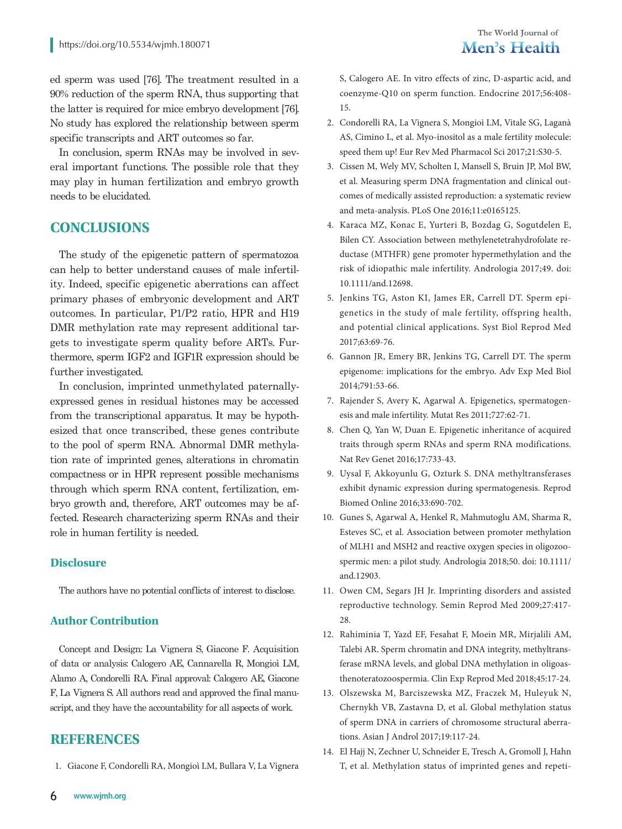ed sperm was used [76]. The treatment resulted in a 90% reduction of the sperm RNA, thus supporting that the latter is required for mice embryo development [76]. No study has explored the relationship between sperm specific transcripts and ART outcomes so far.

In conclusion, sperm RNAs may be involved in several important functions. The possible role that they may play in human fertilization and embryo growth needs to be elucidated.

#### **CONCLUSIONS**

The study of the epigenetic pattern of spermatozoa can help to better understand causes of male infertility. Indeed, specific epigenetic aberrations can affect primary phases of embryonic development and ART outcomes. In particular, P1/P2 ratio, HPR and H19 DMR methylation rate may represent additional targets to investigate sperm quality before ARTs. Furthermore, sperm IGF2 and IGF1R expression should be further investigated.

In conclusion, imprinted unmethylated paternallyexpressed genes in residual histones may be accessed from the transcriptional apparatus. It may be hypothesized that once transcribed, these genes contribute to the pool of sperm RNA. Abnormal DMR methylation rate of imprinted genes, alterations in chromatin compactness or in HPR represent possible mechanisms through which sperm RNA content, fertilization, embryo growth and, therefore, ART outcomes may be affected. Research characterizing sperm RNAs and their role in human fertility is needed.

#### **Disclosure**

The authors have no potential conflicts of interest to disclose.

#### **Author Contribution**

Concept and Design: La Vignera S, Giacone F. Acquisition of data or analysis: Calogero AE, Cannarella R, Mongioì LM, Alamo A, Condorelli RA. Final approval: Calogero AE, Giacone F, La Vignera S. All authors read and approved the final manuscript, and they have the accountability for all aspects of work.

## **REFERENCES**

1. Giacone F, Condorelli RA, Mongioì LM, Bullara V, La Vignera

- 2. Condorelli RA, La Vignera S, Mongioì LM, Vitale SG, Laganà AS, Cimino L, et al. Myo-inositol as a male fertility molecule: speed them up! Eur Rev Med Pharmacol Sci 2017;21:S30-5.
- 3. Cissen M, Wely MV, Scholten I, Mansell S, Bruin JP, Mol BW, et al. Measuring sperm DNA fragmentation and clinical outcomes of medically assisted reproduction: a systematic review and meta-analysis. PLoS One 2016;11:e0165125.
- 4. Karaca MZ, Konac E, Yurteri B, Bozdag G, Sogutdelen E, Bilen CY. Association between methylenetetrahydrofolate reductase (MTHFR) gene promoter hypermethylation and the risk of idiopathic male infertility. Andrologia 2017;49. doi: 10.1111/and.12698.
- 5. Jenkins TG, Aston KI, James ER, Carrell DT. Sperm epigenetics in the study of male fertility, offspring health, and potential clinical applications. Syst Biol Reprod Med 2017;63:69-76.
- 6. Gannon JR, Emery BR, Jenkins TG, Carrell DT. The sperm epigenome: implications for the embryo. Adv Exp Med Biol 2014;791:53-66.
- 7. Rajender S, Avery K, Agarwal A. Epigenetics, spermatogenesis and male infertility. Mutat Res 2011;727:62-71.
- 8. Chen Q, Yan W, Duan E. Epigenetic inheritance of acquired traits through sperm RNAs and sperm RNA modifications. Nat Rev Genet 2016;17:733-43.
- 9. Uysal F, Akkoyunlu G, Ozturk S. DNA methyltransferases exhibit dynamic expression during spermatogenesis. Reprod Biomed Online 2016;33:690-702.
- 10. Gunes S, Agarwal A, Henkel R, Mahmutoglu AM, Sharma R, Esteves SC, et al. Association between promoter methylation of MLH1 and MSH2 and reactive oxygen species in oligozoospermic men: a pilot study. Andrologia 2018;50. doi: 10.1111/ and.12903.
- 11. Owen CM, Segars JH Jr. Imprinting disorders and assisted reproductive technology. Semin Reprod Med 2009;27:417- 28.
- 12. Rahiminia T, Yazd EF, Fesahat F, Moein MR, Mirjalili AM, Talebi AR. Sperm chromatin and DNA integrity, methyltransferase mRNA levels, and global DNA methylation in oligoasthenoteratozoospermia. Clin Exp Reprod Med 2018;45:17-24.
- 13. Olszewska M, Barciszewska MZ, Fraczek M, Huleyuk N, Chernykh VB, Zastavna D, et al. Global methylation status of sperm DNA in carriers of chromosome structural aberrations. Asian J Androl 2017;19:117-24.
- 14. El Hajj N, Zechner U, Schneider E, Tresch A, Gromoll J, Hahn T, et al. Methylation status of imprinted genes and repeti-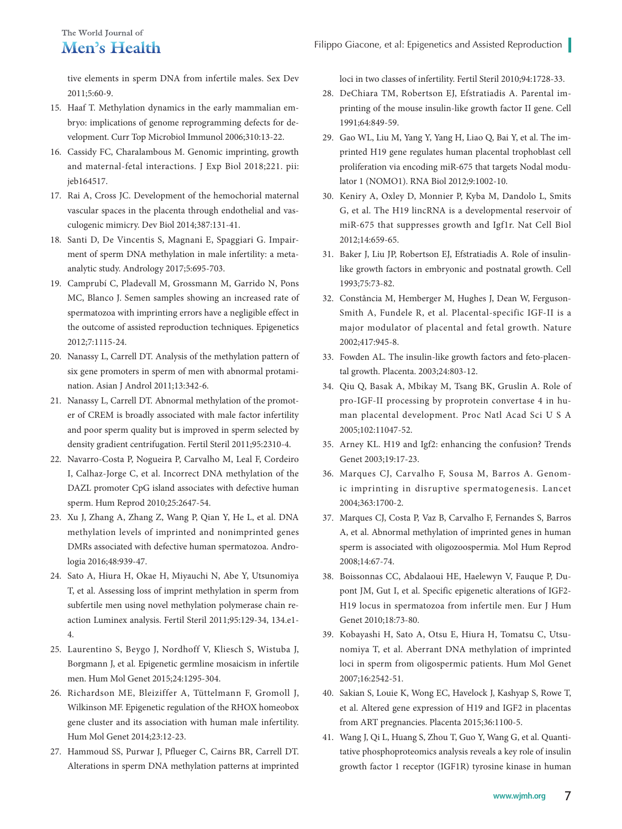tive elements in sperm DNA from infertile males. Sex Dev 2011;5:60-9.

- 15. Haaf T. Methylation dynamics in the early mammalian embryo: implications of genome reprogramming defects for development. Curr Top Microbiol Immunol 2006;310:13-22.
- 16. Cassidy FC, Charalambous M. Genomic imprinting, growth and maternal-fetal interactions. J Exp Biol 2018;221. pii: jeb164517.
- 17. Rai A, Cross JC. Development of the hemochorial maternal vascular spaces in the placenta through endothelial and vasculogenic mimicry. Dev Biol 2014;387:131-41.
- 18. Santi D, De Vincentis S, Magnani E, Spaggiari G. Impairment of sperm DNA methylation in male infertility: a metaanalytic study. Andrology 2017;5:695-703.
- 19. Camprubí C, Pladevall M, Grossmann M, Garrido N, Pons MC, Blanco J. Semen samples showing an increased rate of spermatozoa with imprinting errors have a negligible effect in the outcome of assisted reproduction techniques. Epigenetics 2012;7:1115-24.
- 20. Nanassy L, Carrell DT. Analysis of the methylation pattern of six gene promoters in sperm of men with abnormal protamination. Asian J Androl 2011;13:342-6.
- 21. Nanassy L, Carrell DT. Abnormal methylation of the promoter of CREM is broadly associated with male factor infertility and poor sperm quality but is improved in sperm selected by density gradient centrifugation. Fertil Steril 2011;95:2310-4.
- 22. Navarro-Costa P, Nogueira P, Carvalho M, Leal F, Cordeiro I, Calhaz-Jorge C, et al. Incorrect DNA methylation of the DAZL promoter CpG island associates with defective human sperm. Hum Reprod 2010;25:2647-54.
- 23. Xu J, Zhang A, Zhang Z, Wang P, Qian Y, He L, et al. DNA methylation levels of imprinted and nonimprinted genes DMRs associated with defective human spermatozoa. Andrologia 2016;48:939-47.
- 24. Sato A, Hiura H, Okae H, Miyauchi N, Abe Y, Utsunomiya T, et al. Assessing loss of imprint methylation in sperm from subfertile men using novel methylation polymerase chain reaction Luminex analysis. Fertil Steril 2011;95:129-34, 134.e1- 4.
- 25. Laurentino S, Beygo J, Nordhoff V, Kliesch S, Wistuba J, Borgmann J, et al. Epigenetic germline mosaicism in infertile men. Hum Mol Genet 2015;24:1295-304.
- 26. Richardson ME, Bleiziffer A, Tüttelmann F, Gromoll J, Wilkinson MF. Epigenetic regulation of the RHOX homeobox gene cluster and its association with human male infertility. Hum Mol Genet 2014;23:12-23.
- 27. Hammoud SS, Purwar J, Pflueger C, Cairns BR, Carrell DT. Alterations in sperm DNA methylation patterns at imprinted

loci in two classes of infertility. Fertil Steril 2010;94:1728-33.

- 28. DeChiara TM, Robertson EJ, Efstratiadis A. Parental imprinting of the mouse insulin-like growth factor II gene. Cell 1991;64:849-59.
- 29. Gao WL, Liu M, Yang Y, Yang H, Liao Q, Bai Y, et al. The imprinted H19 gene regulates human placental trophoblast cell proliferation via encoding miR-675 that targets Nodal modulator 1 (NOMO1). RNA Biol 2012;9:1002-10.
- 30. Keniry A, Oxley D, Monnier P, Kyba M, Dandolo L, Smits G, et al. The H19 lincRNA is a developmental reservoir of miR-675 that suppresses growth and Igf1r. Nat Cell Biol 2012;14:659-65.
- 31. Baker J, Liu JP, Robertson EJ, Efstratiadis A. Role of insulinlike growth factors in embryonic and postnatal growth. Cell 1993;75:73-82.
- 32. Constância M, Hemberger M, Hughes J, Dean W, Ferguson-Smith A, Fundele R, et al. Placental-specific IGF-II is a major modulator of placental and fetal growth. Nature 2002;417:945-8.
- 33. Fowden AL. The insulin-like growth factors and feto-placental growth. Placenta. 2003;24:803-12.
- 34. Qiu Q, Basak A, Mbikay M, Tsang BK, Gruslin A. Role of pro-IGF-II processing by proprotein convertase 4 in human placental development. Proc Natl Acad Sci U S A 2005;102:11047-52.
- 35. Arney KL. H19 and Igf2: enhancing the confusion? Trends Genet 2003;19:17-23.
- 36. Marques CJ, Carvalho F, Sousa M, Barros A. Genomic imprinting in disruptive spermatogenesis. Lancet 2004;363:1700-2.
- 37. Marques CJ, Costa P, Vaz B, Carvalho F, Fernandes S, Barros A, et al. Abnormal methylation of imprinted genes in human sperm is associated with oligozoospermia. Mol Hum Reprod 2008;14:67-74.
- 38. Boissonnas CC, Abdalaoui HE, Haelewyn V, Fauque P, Dupont JM, Gut I, et al. Specific epigenetic alterations of IGF2- H19 locus in spermatozoa from infertile men. Eur J Hum Genet 2010;18:73-80.
- 39. Kobayashi H, Sato A, Otsu E, Hiura H, Tomatsu C, Utsunomiya T, et al. Aberrant DNA methylation of imprinted loci in sperm from oligospermic patients. Hum Mol Genet 2007;16:2542-51.
- 40. Sakian S, Louie K, Wong EC, Havelock J, Kashyap S, Rowe T, et al. Altered gene expression of H19 and IGF2 in placentas from ART pregnancies. Placenta 2015;36:1100-5.
- 41. Wang J, Qi L, Huang S, Zhou T, Guo Y, Wang G, et al. Quantitative phosphoproteomics analysis reveals a key role of insulin growth factor 1 receptor (IGF1R) tyrosine kinase in human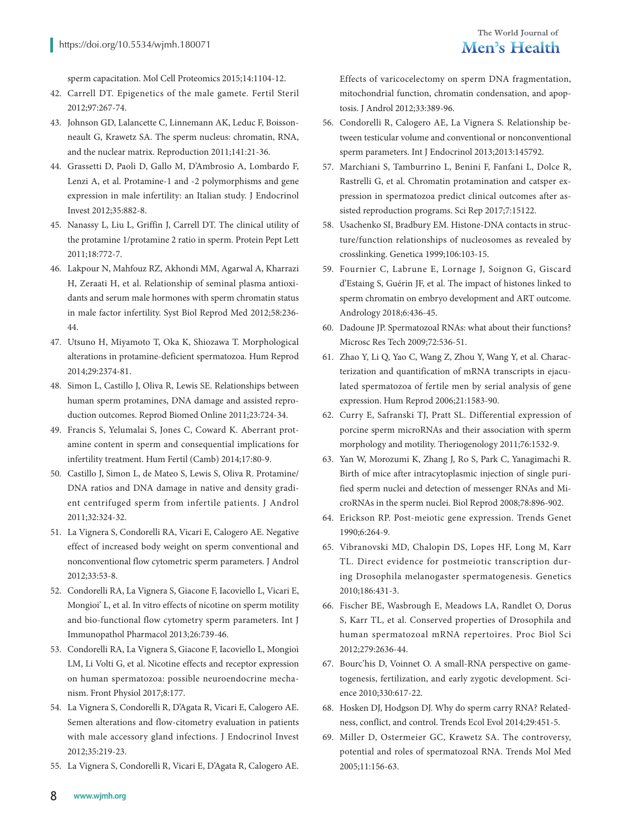sperm capacitation. Mol Cell Proteomics 2015;14:1104-12.

- 42. Carrell DT. Epigenetics of the male gamete. Fertil Steril 2012;97:267-74.
- 43. Johnson GD, Lalancette C, Linnemann AK, Leduc F, Boissonneault G, Krawetz SA. The sperm nucleus: chromatin, RNA, and the nuclear matrix. Reproduction 2011;141:21-36.
- 44. Grassetti D, Paoli D, Gallo M, D'Ambrosio A, Lombardo F, Lenzi A, et al. Protamine-1 and -2 polymorphisms and gene expression in male infertility: an Italian study. J Endocrinol Invest 2012;35:882-8.
- 45. Nanassy L, Liu L, Griffin J, Carrell DT. The clinical utility of the protamine 1/protamine 2 ratio in sperm. Protein Pept Lett 2011;18:772-7.
- 46. Lakpour N, Mahfouz RZ, Akhondi MM, Agarwal A, Kharrazi H, Zeraati H, et al. Relationship of seminal plasma antioxidants and serum male hormones with sperm chromatin status in male factor infertility. Syst Biol Reprod Med 2012;58:236- 44.
- 47. Utsuno H, Miyamoto T, Oka K, Shiozawa T. Morphological alterations in protamine-deficient spermatozoa. Hum Reprod 2014;29:2374-81.
- 48. Simon L, Castillo J, Oliva R, Lewis SE. Relationships between human sperm protamines, DNA damage and assisted reproduction outcomes. Reprod Biomed Online 2011;23:724-34.
- 49. Francis S, Yelumalai S, Jones C, Coward K. Aberrant protamine content in sperm and consequential implications for infertility treatment. Hum Fertil (Camb) 2014;17:80-9.
- 50. Castillo J, Simon L, de Mateo S, Lewis S, Oliva R. Protamine/ DNA ratios and DNA damage in native and density gradient centrifuged sperm from infertile patients. J Androl 2011;32:324-32.
- 51. La Vignera S, Condorelli RA, Vicari E, Calogero AE. Negative effect of increased body weight on sperm conventional and nonconventional flow cytometric sperm parameters. J Androl 2012;33:53-8.
- 52. Condorelli RA, La Vignera S, Giacone F, Iacoviello L, Vicari E, Mongioi' L, et al. In vitro effects of nicotine on sperm motility and bio-functional flow cytometry sperm parameters. Int J Immunopathol Pharmacol 2013;26:739-46.
- 53. Condorelli RA, La Vignera S, Giacone F, Iacoviello L, Mongioì LM, Li Volti G, et al. Nicotine effects and receptor expression on human spermatozoa: possible neuroendocrine mechanism. Front Physiol 2017;8:177.
- 54. La Vignera S, Condorelli R, D'Agata R, Vicari E, Calogero AE. Semen alterations and flow-citometry evaluation in patients with male accessory gland infections. J Endocrinol Invest 2012;35:219-23.
- 55. La Vignera S, Condorelli R, Vicari E, D'Agata R, Calogero AE.

Effects of varicocelectomy on sperm DNA fragmentation, mitochondrial function, chromatin condensation, and apoptosis. J Androl 2012;33:389-96.

- 56. Condorelli R, Calogero AE, La Vignera S. Relationship between testicular volume and conventional or nonconventional sperm parameters. Int J Endocrinol 2013;2013:145792.
- 57. Marchiani S, Tamburrino L, Benini F, Fanfani L, Dolce R, Rastrelli G, et al. Chromatin protamination and catsper expression in spermatozoa predict clinical outcomes after assisted reproduction programs. Sci Rep 2017;7:15122.
- 58. Usachenko SI, Bradbury EM. Histone-DNA contacts in structure/function relationships of nucleosomes as revealed by crosslinking. Genetica 1999;106:103-15.
- 59. Fournier C, Labrune E, Lornage J, Soignon G, Giscard d'Estaing S, Guérin JF, et al. The impact of histones linked to sperm chromatin on embryo development and ART outcome. Andrology 2018;6:436-45.
- 60. Dadoune JP. Spermatozoal RNAs: what about their functions? Microsc Res Tech 2009;72:536-51.
- 61. Zhao Y, Li Q, Yao C, Wang Z, Zhou Y, Wang Y, et al. Characterization and quantification of mRNA transcripts in ejaculated spermatozoa of fertile men by serial analysis of gene expression. Hum Reprod 2006;21:1583-90.
- 62. Curry E, Safranski TJ, Pratt SL. Differential expression of porcine sperm microRNAs and their association with sperm morphology and motility. Theriogenology 2011;76:1532-9.
- 63. Yan W, Morozumi K, Zhang J, Ro S, Park C, Yanagimachi R. Birth of mice after intracytoplasmic injection of single purified sperm nuclei and detection of messenger RNAs and MicroRNAs in the sperm nuclei. Biol Reprod 2008;78:896-902.
- 64. Erickson RP. Post-meiotic gene expression. Trends Genet 1990;6:264-9.
- 65. Vibranovski MD, Chalopin DS, Lopes HF, Long M, Karr TL. Direct evidence for postmeiotic transcription during Drosophila melanogaster spermatogenesis. Genetics 2010;186:431-3.
- 66. Fischer BE, Wasbrough E, Meadows LA, Randlet O, Dorus S, Karr TL, et al. Conserved properties of Drosophila and human spermatozoal mRNA repertoires. Proc Biol Sci 2012;279:2636-44.
- 67. Bourc'his D, Voinnet O. A small-RNA perspective on gametogenesis, fertilization, and early zygotic development. Science 2010;330:617-22.
- 68. Hosken DJ, Hodgson DJ. Why do sperm carry RNA? Relatedness, conflict, and control. Trends Ecol Evol 2014;29:451-5.
- 69. Miller D, Ostermeier GC, Krawetz SA. The controversy, potential and roles of spermatozoal RNA. Trends Mol Med 2005;11:156-63.